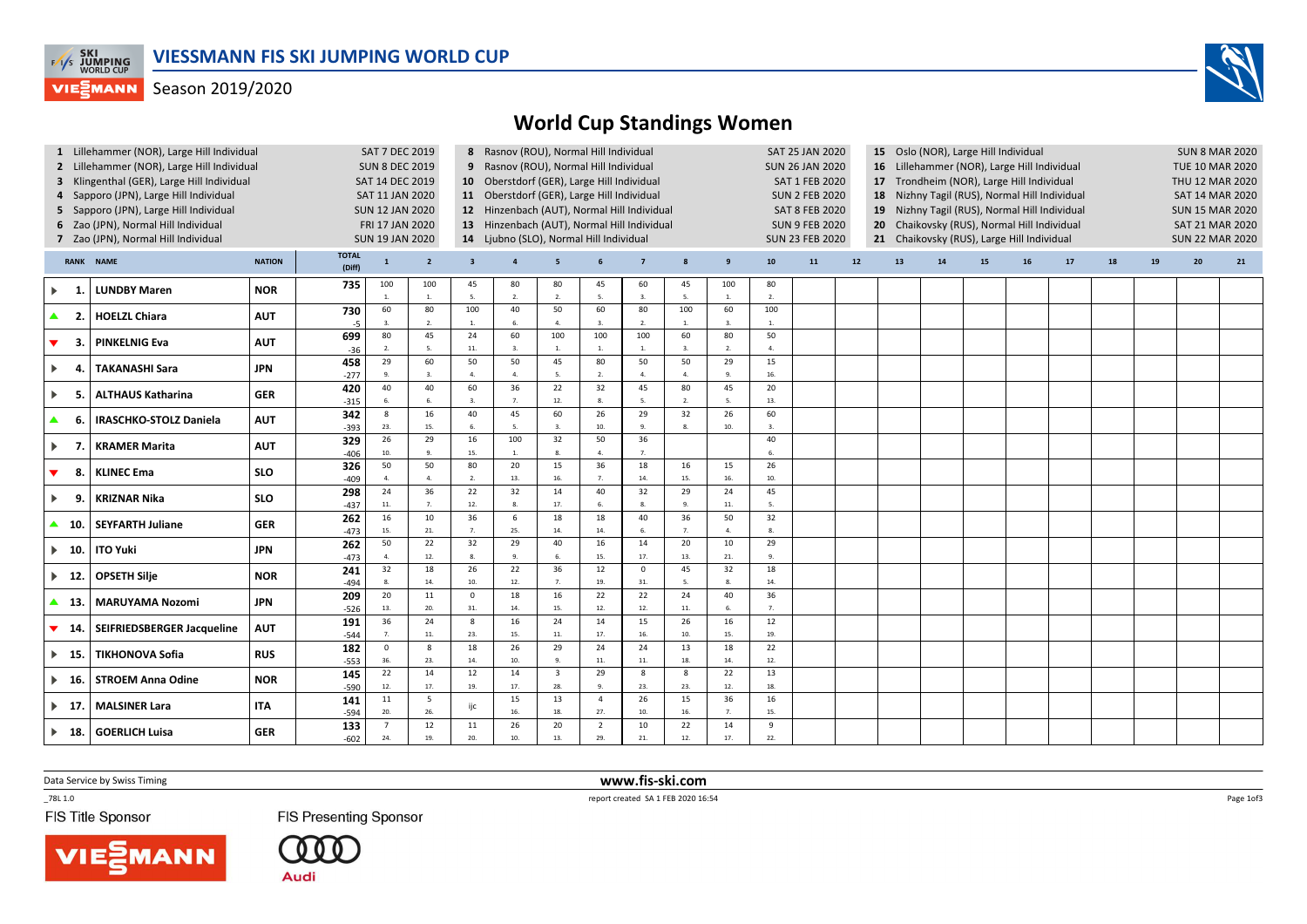

## **VIESMANN** Season 2019/2020



| 1 Lillehammer (NOR), Large Hill Individual<br>2 Lillehammer (NOR), Large Hill Individual<br>3 Klingenthal (GER), Large Hill Individual<br>4 Sapporo (JPN), Large Hill Individual<br>5 Sapporo (JPN), Large Hill Individual<br>6 Zao (JPN), Normal Hill Individual<br>7 Zao (JPN), Normal Hill Individual |                               |            |                        | <b>SAT 7 DEC 2019</b><br><b>SUN 8 DEC 2019</b><br>SAT 14 DEC 2019<br>SAT 11 JAN 2020<br><b>SUN 12 JAN 2020</b><br>FRI 17 JAN 2020<br><b>SUN 19 JAN 2020</b> |                         |                         | 8 Rasnov (ROU), Normal Hill Individual<br>9 Rasnov (ROU), Normal Hill Individual<br>10 Oberstdorf (GER), Large Hill Individual<br>11 Oberstdorf (GER), Large Hill Individual<br>12 Hinzenbach (AUT), Normal Hill Individual<br>13 Hinzenbach (AUT), Normal Hill Individual<br>14 Ljubno (SLO), Normal Hill Individual |                        |                       |                      | SAT 25 JAN 2020<br><b>SUN 26 JAN 2020</b><br>SAT 1 FEB 2020<br><b>SUN 2 FEB 2020</b><br><b>SAT 8 FEB 2020</b><br><b>SUN 9 FEB 2020</b><br><b>SUN 23 FEB 2020</b> |                     | 15 Oslo (NOR), Large Hill Individual<br>16 Lillehammer (NOR), Large Hill Individual<br>17 Trondheim (NOR), Large Hill Individual<br>18<br>Nizhny Tagil (RUS), Normal Hill Individual<br>Nizhny Tagil (RUS), Normal Hill Individual<br>19<br>Chaikovsky (RUS), Normal Hill Individual<br>20<br>21 Chaikovsky (RUS), Large Hill Individual |    |    |    |    |    |    | <b>SUN 8 MAR 2020</b><br><b>TUE 10 MAR 2020</b><br>THU 12 MAR 2020<br><b>SAT 14 MAR 2020</b><br><b>SUN 15 MAR 2020</b><br><b>SAT 21 MAR 2020</b><br><b>SUN 22 MAR 2020</b> |    |    |    |    |
|----------------------------------------------------------------------------------------------------------------------------------------------------------------------------------------------------------------------------------------------------------------------------------------------------------|-------------------------------|------------|------------------------|-------------------------------------------------------------------------------------------------------------------------------------------------------------|-------------------------|-------------------------|-----------------------------------------------------------------------------------------------------------------------------------------------------------------------------------------------------------------------------------------------------------------------------------------------------------------------|------------------------|-----------------------|----------------------|------------------------------------------------------------------------------------------------------------------------------------------------------------------|---------------------|------------------------------------------------------------------------------------------------------------------------------------------------------------------------------------------------------------------------------------------------------------------------------------------------------------------------------------------|----|----|----|----|----|----|----------------------------------------------------------------------------------------------------------------------------------------------------------------------------|----|----|----|----|
| <b>RANK NAME</b><br><b>NATION</b>                                                                                                                                                                                                                                                                        |                               |            | <b>TOTAL</b><br>(Diff) | $\mathbf{1}$                                                                                                                                                | $\overline{2}$          | $\overline{\mathbf{3}}$ | $\overline{a}$                                                                                                                                                                                                                                                                                                        | 5                      | 6                     | $\overline{7}$       | $\boldsymbol{8}$                                                                                                                                                 | 9                   | 10                                                                                                                                                                                                                                                                                                                                       | 11 | 12 | 13 | 14 | 15 | 16 | $17$                                                                                                                                                                       | 18 | 19 | 20 | 21 |
| $\blacktriangleright$                                                                                                                                                                                                                                                                                    | <b>LUNDBY Maren</b>           | <b>NOR</b> | 735                    | 100<br>1.                                                                                                                                                   | 100<br><sup>1</sup>     | 45<br>5.                | 80<br>2.                                                                                                                                                                                                                                                                                                              | 80<br>2.               | 45<br>5.              | 60<br>$\overline{3}$ | 45<br>5.                                                                                                                                                         | 100<br>$\mathbf{1}$ | 80<br>2.                                                                                                                                                                                                                                                                                                                                 |    |    |    |    |    |    |                                                                                                                                                                            |    |    |    |    |
| $\blacktriangle$<br>- 2.                                                                                                                                                                                                                                                                                 | <b>HOELZL Chiara</b>          | <b>AUT</b> | 730<br>-5              | 60<br>3.                                                                                                                                                    | 80<br>$\overline{2}$    | 100<br>$\mathbf{1}$ .   | 40<br>6.                                                                                                                                                                                                                                                                                                              | 50<br>$\overline{4}$   | 60<br>3.              | 80<br>$\overline{2}$ | 100<br>1.                                                                                                                                                        | 60<br>3.            | 100<br><b>1.</b>                                                                                                                                                                                                                                                                                                                         |    |    |    |    |    |    |                                                                                                                                                                            |    |    |    |    |
| ▼<br>-3.                                                                                                                                                                                                                                                                                                 | <b>PINKELNIG Eva</b>          | <b>AUT</b> | 699<br>$-36$           | 80<br>2.                                                                                                                                                    | 45<br>5.                | 24<br>$11.$             | 60<br>3.                                                                                                                                                                                                                                                                                                              | 100<br>1.              | 100<br><b>1.</b>      | 100<br>1.            | 60<br>3.                                                                                                                                                         | 80<br>2.            | 50<br>$\overline{4}$                                                                                                                                                                                                                                                                                                                     |    |    |    |    |    |    |                                                                                                                                                                            |    |    |    |    |
| $\blacktriangleright$<br>4                                                                                                                                                                                                                                                                               | <b>TAKANASHI Sara</b>         | <b>JPN</b> | 458<br>$-277$          | 29<br>9.                                                                                                                                                    | 60<br>$\overline{3}$    | 50<br>$\mathbf{A}$      | 50<br>4.                                                                                                                                                                                                                                                                                                              | 45<br>-5.              | 80<br>2.              | 50<br>$\overline{4}$ | 50<br>4.                                                                                                                                                         | 29<br>9.            | 15<br>16                                                                                                                                                                                                                                                                                                                                 |    |    |    |    |    |    |                                                                                                                                                                            |    |    |    |    |
| $\blacktriangleright$<br>-5.                                                                                                                                                                                                                                                                             | <b>ALTHAUS Katharina</b>      | <b>GER</b> | 420<br>$-315$          | 40<br>6.                                                                                                                                                    | 40<br>-6                | 60<br>$\overline{3}$ .  | 36<br>$\overline{7}$                                                                                                                                                                                                                                                                                                  | 22<br>12.              | 32<br>8.              | 45<br>5              | 80<br>$\overline{2}$                                                                                                                                             | 45<br>5.            | 20<br>13.                                                                                                                                                                                                                                                                                                                                |    |    |    |    |    |    |                                                                                                                                                                            |    |    |    |    |
| ▲<br>-6.                                                                                                                                                                                                                                                                                                 | <b>IRASCHKO-STOLZ Daniela</b> | <b>AUT</b> | 342<br>$-393$          | 8<br>23.                                                                                                                                                    | 16<br>15.               | 40<br>6.                | 45<br>5.                                                                                                                                                                                                                                                                                                              | 60<br>$\overline{3}$ . | 26<br>10.             | 29<br>9              | 32<br>-8.                                                                                                                                                        | 26<br>10.           | 60<br>$\overline{3}$ .                                                                                                                                                                                                                                                                                                                   |    |    |    |    |    |    |                                                                                                                                                                            |    |    |    |    |
| $\blacktriangleright$<br>- 7                                                                                                                                                                                                                                                                             | <b>KRAMER Marita</b>          | <b>AUT</b> | 329<br>$-406$          | 26<br>$10.$                                                                                                                                                 | 29<br>$\overline{9}$    | 16<br>15.               | 100<br>$\mathbf{1}$                                                                                                                                                                                                                                                                                                   | 32<br>8.               | 50<br>4.              | 36<br>$\overline{7}$ |                                                                                                                                                                  |                     | 40<br>6.                                                                                                                                                                                                                                                                                                                                 |    |    |    |    |    |    |                                                                                                                                                                            |    |    |    |    |
| ▼<br>-8.                                                                                                                                                                                                                                                                                                 | <b>KLINEC Ema</b>             | <b>SLO</b> | 326<br>$-409$          | 50<br>4.                                                                                                                                                    | 50<br>$\overline{4}$    | 80<br>2.                | 20<br>13.                                                                                                                                                                                                                                                                                                             | 15<br>16.              | 36<br>7.              | 18<br>14.            | 16<br>15.                                                                                                                                                        | 15<br>16.           | 26<br>10.                                                                                                                                                                                                                                                                                                                                |    |    |    |    |    |    |                                                                                                                                                                            |    |    |    |    |
| $\blacktriangleright$<br>-9.                                                                                                                                                                                                                                                                             | <b>KRIZNAR Nika</b>           | <b>SLO</b> | 298<br>$-437$          | 24<br>$11. \,$                                                                                                                                              | 36<br>7.                | 22<br>12.               | 32<br>8.                                                                                                                                                                                                                                                                                                              | 14<br>17.              | 40<br>6.              | 32<br>$\mathbf{g}$   | 29<br>9.                                                                                                                                                         | 24<br>11.           | 45<br>5.                                                                                                                                                                                                                                                                                                                                 |    |    |    |    |    |    |                                                                                                                                                                            |    |    |    |    |
| $\blacktriangle$ 10.                                                                                                                                                                                                                                                                                     | <b>SEYFARTH Juliane</b>       | <b>GER</b> | 262<br>$-473$          | 16<br>15.                                                                                                                                                   | 10<br>21.               | 36<br>7 <sub>1</sub>    | 6<br>25.                                                                                                                                                                                                                                                                                                              | 18<br>14.              | 18<br>14.             | 40<br>6              | 36<br>$\overline{7}$                                                                                                                                             | 50<br>4.            | 32<br>8.                                                                                                                                                                                                                                                                                                                                 |    |    |    |    |    |    |                                                                                                                                                                            |    |    |    |    |
| $\blacktriangleright$ 10.                                                                                                                                                                                                                                                                                | <b>ITO Yuki</b>               | <b>JPN</b> | 262<br>$-473$          | 50<br>4.                                                                                                                                                    | 22<br>12.               | 32<br>8.                | 29<br>-9.                                                                                                                                                                                                                                                                                                             | 40<br>6.               | 16<br>15.             | 14<br>17.            | 20<br>13.                                                                                                                                                        | 10<br>21.           | 29<br>9.                                                                                                                                                                                                                                                                                                                                 |    |    |    |    |    |    |                                                                                                                                                                            |    |    |    |    |
| $\blacktriangleright$ 12.                                                                                                                                                                                                                                                                                | <b>OPSETH Silje</b>           | <b>NOR</b> | 241<br>$-494$          | 32<br>8.                                                                                                                                                    | 18<br>14.               | 26<br>10.               | 22<br>12.                                                                                                                                                                                                                                                                                                             | 36<br>$\overline{7}$   | 12<br>19.             | $^{\circ}$<br>31.    | 45<br>5.                                                                                                                                                         | 32<br>8.            | 18<br>14.                                                                                                                                                                                                                                                                                                                                |    |    |    |    |    |    |                                                                                                                                                                            |    |    |    |    |
| $\blacktriangle$ 13.                                                                                                                                                                                                                                                                                     | <b>MARUYAMA Nozomi</b>        | <b>JPN</b> | 209<br>$-526$          | 20<br>13.                                                                                                                                                   | 11<br>20.               | $\mathsf 0$<br>31.      | 18<br>14.                                                                                                                                                                                                                                                                                                             | 16<br>15.              | 22<br>12.             | 22<br>12.            | 24<br>11.                                                                                                                                                        | 40<br>6.            | 36<br>7.                                                                                                                                                                                                                                                                                                                                 |    |    |    |    |    |    |                                                                                                                                                                            |    |    |    |    |
| ▼<br>- 14.                                                                                                                                                                                                                                                                                               | SEIFRIEDSBERGER Jacqueline    | <b>AUT</b> | 191<br>$-544$          | 36<br>7.                                                                                                                                                    | 24<br>11.               | 8<br>23.                | 16<br>15.                                                                                                                                                                                                                                                                                                             | 24<br>11.              | 14<br>17.             | 15<br>16.            | 26<br>10.                                                                                                                                                        | 16<br>15.           | 12<br>19.                                                                                                                                                                                                                                                                                                                                |    |    |    |    |    |    |                                                                                                                                                                            |    |    |    |    |
| $\blacktriangleright$ 15.                                                                                                                                                                                                                                                                                | <b>TIKHONOVA Sofia</b>        | <b>RUS</b> | 182<br>$-553$          | $\mathsf 0$<br>36.                                                                                                                                          | $\boldsymbol{8}$<br>23. | 18<br>14.               | 26<br>10.                                                                                                                                                                                                                                                                                                             | 29<br>9.               | 24<br>$11.$           | 24<br>$11.$          | 13<br>18.                                                                                                                                                        | 18<br>14.           | 22<br>12.                                                                                                                                                                                                                                                                                                                                |    |    |    |    |    |    |                                                                                                                                                                            |    |    |    |    |
| $\blacktriangleright$ 16.                                                                                                                                                                                                                                                                                | <b>STROEM Anna Odine</b>      | <b>NOR</b> | 145<br>$-590$          | 22<br>12.                                                                                                                                                   | 14<br>17.               | 12<br>19.               | 14<br>17.                                                                                                                                                                                                                                                                                                             | $\overline{3}$<br>28.  | 29<br>9.              | 8<br>23.             | 8<br>23.                                                                                                                                                         | 22<br>12.           | 13<br>18.                                                                                                                                                                                                                                                                                                                                |    |    |    |    |    |    |                                                                                                                                                                            |    |    |    |    |
| $\blacktriangleright$ 17                                                                                                                                                                                                                                                                                 | <b>MALSINER Lara</b>          | <b>ITA</b> | 141<br>$-594$          | $11\,$<br>20.                                                                                                                                               | 5<br>26.                | ijc                     | 15<br>16.                                                                                                                                                                                                                                                                                                             | 13<br>18.              | $\overline{4}$<br>27. | 26<br>10.            | 15<br>16.                                                                                                                                                        | 36<br>7.            | 16<br>15.                                                                                                                                                                                                                                                                                                                                |    |    |    |    |    |    |                                                                                                                                                                            |    |    |    |    |
| $\blacktriangleright$ 18.                                                                                                                                                                                                                                                                                | <b>GOERLICH Luisa</b>         | <b>GER</b> | 133<br>$-602$          | $\overline{7}$<br>24.                                                                                                                                       | 12<br>19.               | 11<br>20.               | 26<br>10.                                                                                                                                                                                                                                                                                                             | 20<br>13.              | $\overline{2}$<br>29. | 10<br>21.            | 22<br>12.                                                                                                                                                        | 14<br>17.           | 9<br>22.                                                                                                                                                                                                                                                                                                                                 |    |    |    |    |    |    |                                                                                                                                                                            |    |    |    |    |

Data Service by Swiss Timing

 $-78L 1.0$ 

FIS Title Sponsor

**FIS Presenting Sponsor** 

Audi

 www.fis-ski.comreport created SA 1 FEB 2020 16:54

Page 1of3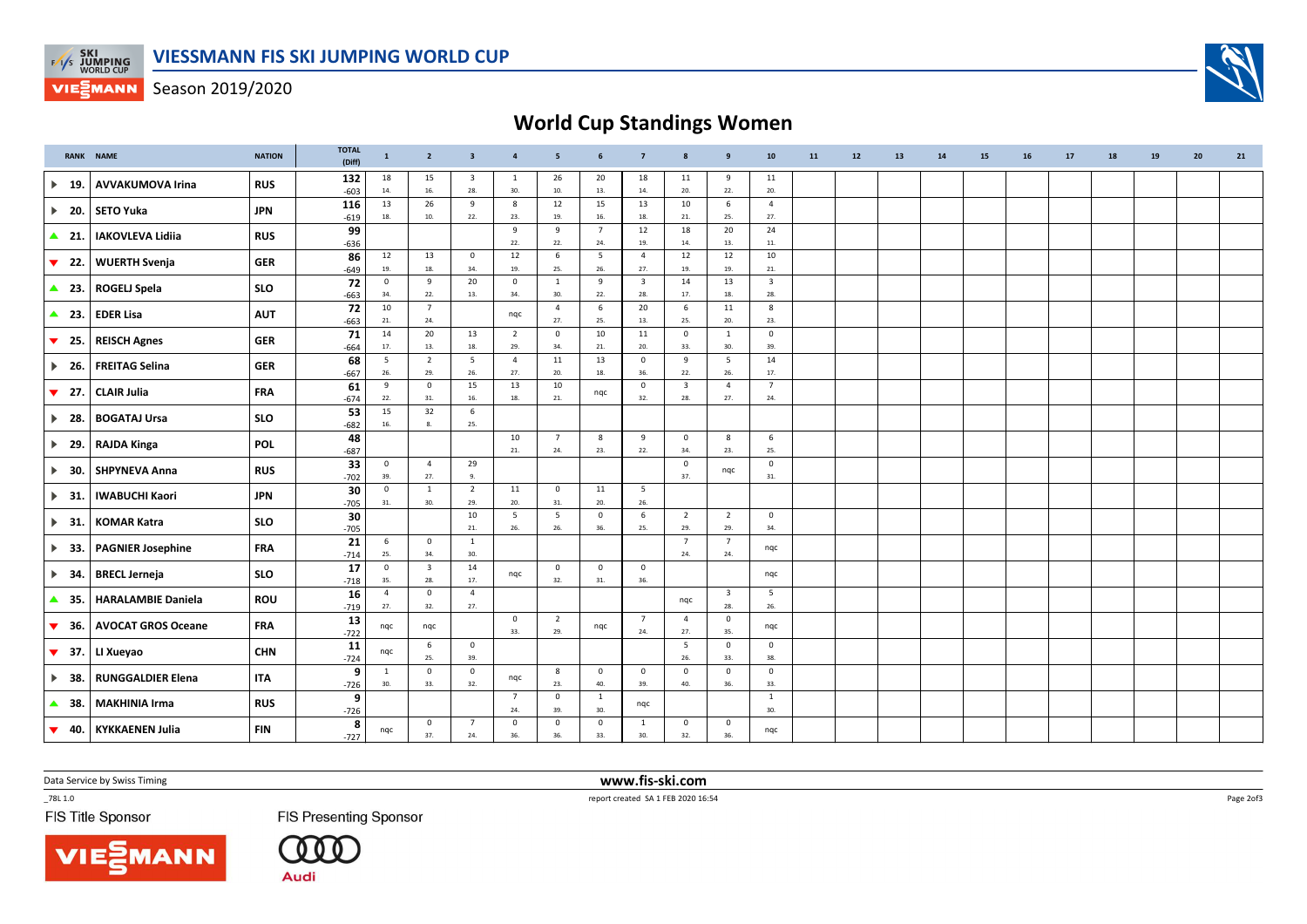

**VIESMANN** Season 2019/2020

## World Cup Standings Women

|                                | <b>RANK NAME</b>          | <b>NATION</b> | <b>TOTAL</b><br>(Diff) | $\mathbf{1}$           | $\overline{2}$        | $\overline{\mathbf{3}}$        | $\overline{4}$        | 5                     | 6                      | $\overline{7}$                 | $\mathbf{8}$                   | $\overline{9}$                 | 10                             | 11 | 12 | 13 | 14 | 15 | 16 | 17 | 18 | 19 | 20 | 21 |
|--------------------------------|---------------------------|---------------|------------------------|------------------------|-----------------------|--------------------------------|-----------------------|-----------------------|------------------------|--------------------------------|--------------------------------|--------------------------------|--------------------------------|----|----|----|----|----|----|----|----|----|----|----|
| $\blacktriangleright$<br>- 19. | <b>AVVAKUMOVA Irina</b>   | <b>RUS</b>    | 132<br>$-603$          | 18<br>14.              | 15<br>16.             | $\overline{\mathbf{3}}$<br>28. | 1<br>30.              | 26<br>10.             | 20<br>13.              | 18<br>14.                      | 11<br>20.                      | 9<br>$22.$                     | 11<br>20.                      |    |    |    |    |    |    |    |    |    |    |    |
| $\blacktriangleright$<br>20.   | <b>SETO Yuka</b>          | <b>JPN</b>    | 116<br>$-619$          | 13<br>18.              | 26<br>10.             | 9<br>22.                       | 8<br>23.              | 12<br>19.             | 15<br>16.              | 13<br>18.                      | 10<br>21.                      | 6<br>25.                       | $\overline{4}$<br>27.          |    |    |    |    |    |    |    |    |    |    |    |
| $\blacktriangle$ 21.           | <b>IAKOVLEVA Lidiia</b>   | <b>RUS</b>    | 99<br>$-636$           |                        |                       |                                | 9<br>$22.$            | 9<br>22.              | $7\overline{ }$<br>24. | 12<br>19.                      | 18<br>14.                      | 20<br>13.                      | 24<br>11.                      |    |    |    |    |    |    |    |    |    |    |    |
| ▼<br>22.                       | <b>WUERTH Svenja</b>      | <b>GER</b>    | 86<br>$-649$           | 12<br>19.              | 13<br>18.             | $\mathbf 0$<br>34.             | 12<br>19.             | $\,$ 6 $\,$<br>25.    | $5\overline{)}$<br>26. | $\overline{4}$<br>27.          | 12<br>19.                      | 12<br>19.                      | 10<br>21.                      |    |    |    |    |    |    |    |    |    |    |    |
| $\triangle$ 23.                | <b>ROGELJ Spela</b>       | <b>SLO</b>    | 72<br>$-663$           | $\mathbf{0}$<br>34.    | 9<br>22.              | 20<br>13.                      | $\mathbf{0}$<br>34.   | 1<br>30.              | 9<br>22.               | $\overline{\mathbf{3}}$<br>28. | 14<br>17.                      | 13<br>18.                      | $\overline{\mathbf{3}}$<br>28. |    |    |    |    |    |    |    |    |    |    |    |
| $\triangle$ 23.                | <b>EDER Lisa</b>          | <b>AUT</b>    | 72                     | 10                     | $7\overline{ }$       |                                | nqc                   | $\overline{4}$        | 6                      | 20                             | 6                              | 11                             | 8                              |    |    |    |    |    |    |    |    |    |    |    |
| 25.<br>$\blacktriangledown$    | <b>REISCH Agnes</b>       | <b>GER</b>    | $-663$<br>71           | 21.<br>14              | 24.<br>20             | 13                             | $\overline{2}$        | 27.<br>$\mathbf 0$    | 25.<br>10              | 13.<br>11                      | 25.<br>$\mathbf 0$             | 20.<br>$\mathbf{1}$            | 23.<br>$\overline{0}$          |    |    |    |    |    |    |    |    |    |    |    |
| $\blacktriangleright$ 26.      | <b>FREITAG Selina</b>     | <b>GER</b>    | $-664$<br>68           | 17.<br>$5\phantom{.0}$ | 13.<br>$\overline{2}$ | $18. \,$<br>5                  | 29.<br>$\overline{a}$ | 34.<br>11             | 21.<br>13              | 20.<br>$\overline{\mathbf{0}}$ | 33.<br>9                       | 30.<br>5                       | 39.<br>14                      |    |    |    |    |    |    |    |    |    |    |    |
| 27.<br>$\blacktriangledown$    | <b>CLAIR Julia</b>        | <b>FRA</b>    | $-667$<br>61           | 26.<br>9               | 29.<br>$\circ$        | 26.<br>15                      | 27.<br>13             | 20.<br>10             | 18.<br>nqc             | 36.<br>$\mathbf 0$             | 22.<br>$\overline{\mathbf{3}}$ | 26.<br>$\overline{4}$          | 17.<br>$\overline{7}$          |    |    |    |    |    |    |    |    |    |    |    |
| 28.<br>$\blacktriangleright$   | <b>BOGATAJ Ursa</b>       | <b>SLO</b>    | $-674$<br>53           | 22.<br>15              | 31.<br>32             | $16.$<br>6                     | 18.                   | 21.                   |                        | 32.                            | 28.                            | 27.                            | 24.                            |    |    |    |    |    |    |    |    |    |    |    |
|                                |                           |               | $-682$<br>48           | 16.                    | $\mathbf{g}$          | 25.                            | 10                    | $\overline{7}$        | 8                      | 9                              | $\mathbf{0}$                   | 8                              | 6                              |    |    |    |    |    |    |    |    |    |    |    |
| $\blacktriangleright$ 29.      | <b>RAJDA Kinga</b>        | <b>POL</b>    | $-687$<br>33           | $\mathbf{0}$           | $\overline{4}$        | 29                             | 21.                   | 24.                   | 23.                    | 22.                            | 34.<br>$\mathsf 0$             | 23.                            | 25.<br>$\mathbf 0$             |    |    |    |    |    |    |    |    |    |    |    |
| $\blacktriangleright$<br>30.   | <b>SHPYNEVA Anna</b>      | <b>RUS</b>    | $-702$<br>30           | 39.<br>$\Omega$        | 27.<br><sup>1</sup>   | 9.<br>$\overline{2}$           | 11                    | $\mathsf 0$           | 11                     | $5\phantom{.0}$                | 37.                            | nqc                            | 31.                            |    |    |    |    |    |    |    |    |    |    |    |
| $\blacktriangleright$<br>31.   | <b>IWABUCHI Kaori</b>     | <b>JPN</b>    | $-705$<br>30           | 31.                    | 30.                   | 29.<br>10                      | 20.<br>5              | 31.<br>5              | 20.<br>$\mathbf 0$     | 26.<br>$\,$ 6                  | $\overline{2}$                 | $\overline{2}$                 | $\mathbf 0$                    |    |    |    |    |    |    |    |    |    |    |    |
| $\blacktriangleright$ 31.      | <b>KOMAR Katra</b>        | <b>SLO</b>    | $-705$                 | 6                      | $\mathbf 0$           | 21.<br>$\mathbf{1}$            | 26.                   | 26.                   | 36.                    | 25.                            | 29.<br>$\overline{7}$          | 29.<br>$\overline{7}$          | 34.                            |    |    |    |    |    |    |    |    |    |    |    |
| $\blacktriangleright$ 33.      | <b>PAGNIER Josephine</b>  | <b>FRA</b>    | 21<br>$-714$           | 25.                    | 34.                   | 30.                            |                       |                       |                        |                                | 24.                            | 24.                            | nqc                            |    |    |    |    |    |    |    |    |    |    |    |
| $\blacktriangleright$ 34.      | <b>BRECL Jerneja</b>      | <b>SLO</b>    | 17<br>$-718$           | $\mathsf 0$<br>35.     | $\mathbf{3}$<br>28.   | 14<br>17.                      | nqc                   | $\mathbf 0$<br>32.    | $\mathsf 0$<br>31.     | $\mathbf 0$<br>36.             |                                |                                | nqc                            |    |    |    |    |    |    |    |    |    |    |    |
| $\blacktriangle$<br>- 35.      | <b>HARALAMBIE Daniela</b> | <b>ROU</b>    | 16<br>$-719$           | $\overline{4}$<br>27.  | $\mathbf 0$<br>32.    | $\overline{4}$<br>27.          |                       |                       |                        |                                | nqc                            | $\overline{\mathbf{3}}$<br>28. | 5<br>26.                       |    |    |    |    |    |    |    |    |    |    |    |
| $\blacktriangledown$<br>36.    | <b>AVOCAT GROS Oceane</b> | <b>FRA</b>    | 13<br>$-722$           | nqc                    | nqc                   |                                | $\mathbf 0$<br>33.    | $\overline{2}$<br>29. | nqc                    | $\overline{7}$<br>24.          | $\overline{4}$<br>27.          | $\mathbf 0$<br>35.             | nqc                            |    |    |    |    |    |    |    |    |    |    |    |
| $\blacktriangledown$<br>37.    | LI Xueyao                 | <b>CHN</b>    | 11<br>$-724$           | ngc                    | 6<br>25.              | $\mathsf 0$<br>39.             |                       |                       |                        |                                | $5\phantom{.0}$<br>26.         | $\mathsf 0$<br>33.             | $\mathbf 0$<br>38.             |    |    |    |    |    |    |    |    |    |    |    |
| $\blacktriangleright$<br>38.   | <b>RUNGGALDIER Elena</b>  | <b>ITA</b>    | 9<br>$-726$            | $\overline{1}$<br>30.  | $\mathbf 0$<br>33.    | $\mathbf 0$<br>32.             | nqc                   | 8<br>23.              | $\mathbf 0$<br>40.     | $\overline{\mathbf{0}}$<br>39. | $\mathbf 0$<br>40.             | $\mathbf 0$<br>36.             | $\overline{\mathbf{0}}$<br>33. |    |    |    |    |    |    |    |    |    |    |    |
| 38.<br>▲                       | <b>MAKHINIA Irma</b>      | <b>RUS</b>    | 9<br>$-726$            |                        |                       |                                | $\overline{7}$<br>24. | $\mathbf 0$<br>39.    | $\mathbf{1}$<br>30.    | nqc                            |                                |                                | $\mathbf{1}$<br>30.            |    |    |    |    |    |    |    |    |    |    |    |
| $\blacktriangledown$ 40.       | <b>KYKKAENEN Julia</b>    | <b>FIN</b>    | 8<br>$-727$            | nqc                    | $\mathbf 0$<br>37.    | $\overline{7}$<br>24.          | $\mathbf 0$<br>36.    | $\mathbf 0$<br>36.    | $\overline{0}$<br>33.  | 1<br>30.                       | 0<br>32.                       | $\mathbf 0$<br>36.             | nqc                            |    |    |    |    |    |    |    |    |    |    |    |

Data Service by Swiss Timing

 $-78L 1.0$ 

FIS Title Sponsor

**FIS Presenting Sponsor** 

 $(000$ **Audi** 

**NN** 

 www.fis-ski.comreport created SA 1 FEB 2020 16:54

Page 2of3